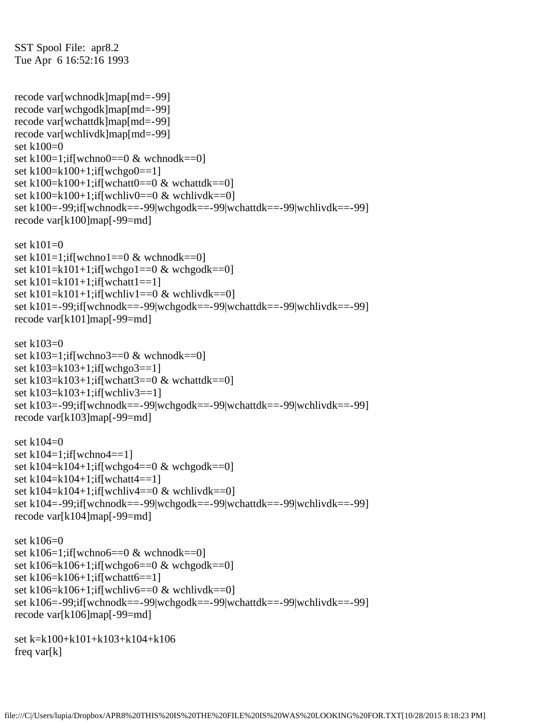SST Spool File: apr8.2 Tue Apr 6 16:52:16 1993

recode var[wchnodk]map[md=-99] recode var[wchgodk]map[md=-99] recode var[wchattdk]map[md=-99] recode var[wchlivdk]map[md=-99] set k100=0 set k100=1;if[wchno0==0  $\&$  wchnodk==0] set k100=k100+1;if[wchgo0==1] set k100=k100+1;if[wchatt0==0  $\&$  wchattdk==0] set k100=k100+1;if[wchliv0==0 & wchlivdk==0] set k100=-99;if[wchnodk==-99|wchgodk==-99|wchattdk==-99|wchlivdk==-99] recode var[k100]map[-99=md]

set k101=0 set k101=1;if[wchno1==0  $\&$  wchnodk==0] set k101=k101+1;if[wchgo1==0 & wchgodk==0] set k101=k101+1;if[wchatt1==1] set k101=k101+1;if[wchliv1==0 & wchlivdk==0] set k101=-99;if[wchnodk==-99|wchgodk==-99|wchattdk==-99|wchlivdk==-99] recode var[k101]map[-99=md]

```
set k103=0set k103=1;if[wchno3==0 \& wchnodk==0]
set k103=k103+1;if[wchgo3==1]
set k103=k103+1;if[wchatt3==0 \& wchattdk==0]
set k103=k103+1;if[wchliv3==1]
set k103=-99;if[wchnodk==-99|wchgodk==-99|wchattdk==-99|wchlivdk==-99]
recode var[k103]map[-99=md]
```

```
set k104=0
set k104=1;if[wchno4==1]
set k104=k104+1;if[wchgo4==0 \& wchgodk==0]
set k104=k104+1;if[wchatt4==1]
set k104=k104+1;if[wchliv4==0 \& wchlivdk==0]
set k104=-99;if[wchnodk==-99|wchgodk==-99|wchattdk==-99|wchlivdk==-99]
recode var[k104]map[-99=md]
```

```
set k106=0
set k106=1;if[wchno6==0 \& wchnodk==0]
set k106=k106+1;if[wchgo6==0 & wchgodk==0]
set k106=k106+1;if[wchatt6==1]
set k106=k106+1;if[wchliv6==0 & wchlivdk==0]
set k106=-99;if[wchnodk==-99|wchgodk==-99|wchattdk==-99|wchlivdk==-99]
recode var[k106]map[-99=md]
```

```
set k=k100+k101+k103+k104+k106
freq var[k]
```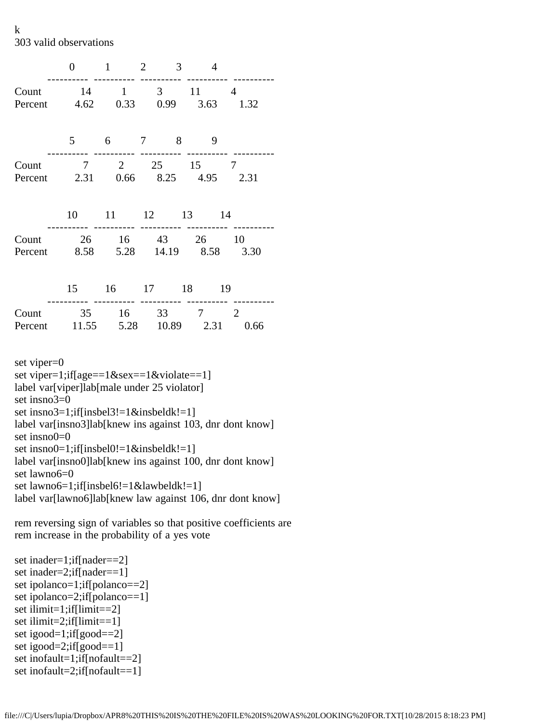k 303 valid observations

|                                            | 0              | $\mathbf{1}$ | $\overline{2}$<br>3     | $\overline{4}$ |                        |
|--------------------------------------------|----------------|--------------|-------------------------|----------------|------------------------|
| Count<br>Percent 4.62 0.33 0.99 3.63       | 14             | $\mathbf{1}$ | $\overline{3}$          | 11             | 4<br>1.32              |
|                                            | 5 <sup>5</sup> |              | 6 7 8                   | 9              |                        |
| Count<br>Percent 2.31 0.66 8.25 4.95 2.31  |                |              |                         | 7 2 25 15 7    |                        |
|                                            | 10             |              |                         | 11 12 13 14    |                        |
| Count<br>Percent 8.58 5.28 14.19 8.58 3.30 |                |              |                         | 26 16 43 26    | 10                     |
|                                            |                |              |                         | 15 16 17 18 19 |                        |
| Count<br>Percent 11.55 5.28 10.89 2.31     |                |              | ---------<br>35 16 33 7 |                | $\overline{2}$<br>0.66 |

set viper=0 set viper=1;if[age==1&sex==1&violate==1] label var[viper]lab[male under 25 violator] set insno3=0 set insno3=1;if[insbel3!=1&insbeldk!=1] label var[insno3]lab[knew ins against 103, dnr dont know] set insno0=0 set insno0=1;if[insbel0!=1&insbeldk!=1] label var[insno0]lab[knew ins against 100, dnr dont know] set lawno6=0 set lawno6=1;if[insbel6!=1&lawbeldk!=1] label var[lawno6]lab[knew law against 106, dnr dont know]

rem reversing sign of variables so that positive coefficients are rem increase in the probability of a yes vote

set inader=1;if[nader==2] set inader=2;if[nader==1] set ipolanco=1;if[polanco==2] set ipolanco=2;if[polanco==1] set ilimit=1;if[limit==2] set ilimit=2;if[limit==1] set igood=1;if[good==2] set igood=2;if[good==1] set inofault=1;if[nofault==2] set inofault=2;if[nofault==1]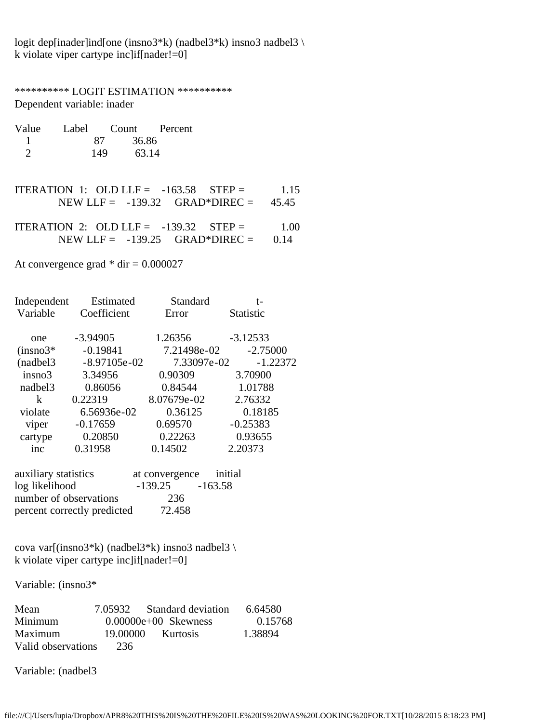logit dep[inader]ind[one (insno3\*k) (nadbel3\*k) insno3 nadbel3 \ k violate viper cartype inc]if[nader!=0]

\*\*\*\*\*\*\*\*\*\* LOGIT ESTIMATION \*\*\*\*\*\*\*\*\*\* Dependent variable: inader

| Value | Label |       | Count Percent |
|-------|-------|-------|---------------|
|       | 87    | 36.86 |               |
|       | 149   |       | 63.14         |

- ITERATION 1: OLD LLF =  $-163.58$  STEP = 1.15 NEW LLF = -139.32 GRAD\*DIREC = 45.45
- ITERATION 2: OLD LLF =  $-139.32$  STEP = 1.00 NEW LLF =  $-139.25$  GRAD\*DIREC =  $0.14$

At convergence grad  $*$  dir = 0.000027

| Independent         | Estimated      | Standard    | t-               |
|---------------------|----------------|-------------|------------------|
| Variable            | Coefficient    | Error       | <b>Statistic</b> |
|                     |                |             |                  |
| one                 | $-3.94905$     | 1.26356     | $-3.12533$       |
| $(in \text{sno3*})$ | $-0.19841$     | 7.21498e-02 | $-2.75000$       |
| (nadbel3)           | $-8.97105e-02$ | 7.33097e-02 | $-1.22372$       |
| insno3              | 3.34956        | 0.90309     | 3.70900          |
| nadbel3             | 0.86056        | 0.84544     | 1.01788          |
| k                   | 0.22319        | 8.07679e-02 | 2.76332          |
| violate             | 6.56936e-02    | 0.36125     | 0.18185          |
| viper               | $-0.17659$     | 0.69570     | $-0.25383$       |
| cartype             | 0.20850        | 0.22263     | 0.93655          |
| inc                 | 0.31958        | 0.14502     | 2.20373          |
|                     |                |             |                  |

| auxiliary statistics        | at convergence initial |           |
|-----------------------------|------------------------|-----------|
| log likelihood              | $-139.25$              | $-163.58$ |
| number of observations      | 236                    |           |
| percent correctly predicted | 72.458                 |           |

cova var[(insno3\*k) (nadbel3\*k) insno3 nadbel3 \ k violate viper cartype inc]if[nader!=0]

Variable: (insno3\*

| Mean               |          | 7.05932 Standard deviation | 6.64580 |
|--------------------|----------|----------------------------|---------|
| Minimum            |          | $0.00000e+00$ Skewness     | 0.15768 |
| Maximum            | 19.00000 | <b>Kurtosis</b>            | 1.38894 |
| Valid observations | 236      |                            |         |

Variable: (nadbel3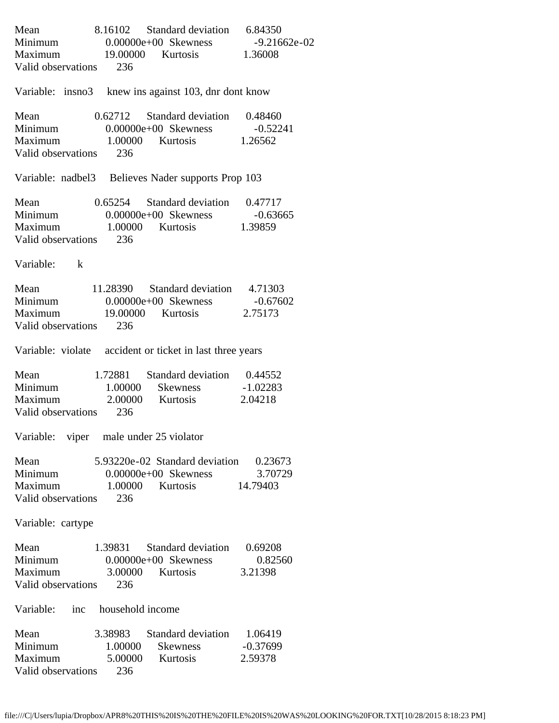| Mean 8.16102 Standard deviation 6.84350<br>Minimum 0.00000e+00 Skewness -9.21662e-02<br>Maximum 19.00000 Kurtosis 1.36008                        |                                                     |                                                         |                               |
|--------------------------------------------------------------------------------------------------------------------------------------------------|-----------------------------------------------------|---------------------------------------------------------|-------------------------------|
| Valid observations 236                                                                                                                           |                                                     |                                                         |                               |
| Variable: insno3 knew ins against 103, dnr dont know                                                                                             |                                                     |                                                         |                               |
| Mean                                                                                                                                             | 0.62712 Standard deviation 0.48460                  |                                                         |                               |
| Minimum 0.00000e+00 Skewness -0.52241<br>Maximum 1.00000 Kurtosis 1.26562<br>Valid observations 236                                              |                                                     |                                                         |                               |
| Variable: nadbel3 Believes Nader supports Prop 103                                                                                               |                                                     |                                                         |                               |
| Mean 0.65254 Standard deviation 0.47717<br>Minimum 0.00000e+00 Skewness -0.63665<br>Maximum 1.00000 Kurtosis 1.39859<br>Valid observations 236   |                                                     |                                                         |                               |
| Variable: k                                                                                                                                      |                                                     |                                                         |                               |
| Mean 11.28390 Standard deviation 4.71303<br>Minimum 0.00000e+00 Skewness -0.67602<br>Maximum 19.00000 Kurtosis 2.75173<br>Valid observations 236 |                                                     |                                                         |                               |
| Variable: violate accident or ticket in last three years                                                                                         |                                                     |                                                         |                               |
| Mean 1.72881 Standard deviation 0.44552<br>Minimum 1.00000 Skewness -1.02283<br>Maximum 2.00000 Kurtosis<br>Valid observations 236               |                                                     |                                                         | 2.04218                       |
| Variable: viper male under 25 violator                                                                                                           |                                                     |                                                         |                               |
| Mean<br>Minimum<br>Maximum<br>Valid observations                                                                                                 | 5.93220e-02 Standard deviation 0.23673<br>236       | 0.00000e+00 Skewness 3.707<br>1.00000 Kurtosis 14.79403 | 3.70729                       |
| Variable: cartype                                                                                                                                |                                                     |                                                         |                               |
| Mean<br>Minimum<br>Maximum<br>Valid observations                                                                                                 | 1.39831<br>$0.00000e+00$ Skewness<br>3.00000<br>236 | Standard deviation<br>Kurtosis                          | 0.69208<br>0.82560<br>3.21398 |
| Variable: inc household income                                                                                                                   |                                                     |                                                         |                               |
| Mean<br>Minimum<br>Maximum<br>Valid observations                                                                                                 | 3.38983<br>1.00000<br>5.00000<br>236                | Standard deviation 1.06419<br>Skewness<br>Kurtosis      | $-0.37699$<br>2.59378         |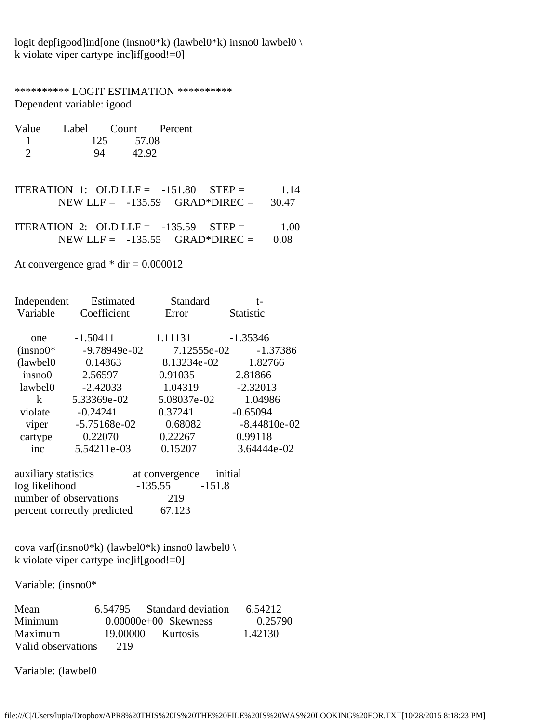logit dep[igood]ind[one (insno0\*k) (lawbel0\*k) insno0 lawbel0 \ k violate viper cartype inc]if[good!=0]

\*\*\*\*\*\*\*\*\*\* LOGIT ESTIMATION \*\*\*\*\*\*\*\*\*\* Dependent variable: igood

| Value | Label Count Percent |  |
|-------|---------------------|--|
|       | 57.08<br>125        |  |
|       | 42.92<br>94         |  |

- ITERATION 1: OLD LLF =  $-151.80$  STEP = 1.14 NEW LLF = -135.59 GRAD\*DIREC = 30.47
- ITERATION 2: OLD LLF =  $-135.59$  STEP = 1.00 NEW LLF =  $-135.55$  GRAD\*DIREC =  $0.08$

At convergence grad  $*$  dir = 0.000012

| Independent | Estimated      | Standard    | t-               |
|-------------|----------------|-------------|------------------|
| Variable    | Coefficient    | Error       | <b>Statistic</b> |
|             |                |             |                  |
| one         | $-1.50411$     | 1.11131     | $-1.35346$       |
| $(insno0*)$ | $-9.78949e-02$ | 7.12555e-02 | $-1.37386$       |
| (lawbel0)   | 0.14863        | 8.13234e-02 | 1.82766          |
| insno0      | 2.56597        | 0.91035     | 2.81866          |
| lawbel0     | $-2.42033$     | 1.04319     | $-2.32013$       |
| k           | 5.33369e-02    | 5.08037e-02 | 1.04986          |
| violate     | $-0.24241$     | 0.37241     | $-0.65094$       |
| viper       | $-5.75168e-02$ | 0.68082     | $-8.44810e-02$   |
| cartype     | 0.22070        | 0.22267     | 0.99118          |
| inc         | 5.54211e-03    | 0.15207     | 3.64444e-02      |

| auxiliary statistics        | at convergence initial |          |
|-----------------------------|------------------------|----------|
| log likelihood              | $-135.55$              | $-151.8$ |
| number of observations      | 219                    |          |
| percent correctly predicted | 67.123                 |          |

cova var[(insno0\*k) (lawbel0\*k) insno0 lawbel0 \ k violate viper cartype inc]if[good!=0]

Variable: (insno0\*

| Mean               |          | 6.54795 Standard deviation | 6.54212 |
|--------------------|----------|----------------------------|---------|
| Minimum            |          | $0.00000e+00$ Skewness     | 0.25790 |
| Maximum            | 19.00000 | <b>Kurtosis</b>            | 1.42130 |
| Valid observations | 219      |                            |         |

Variable: (lawbel0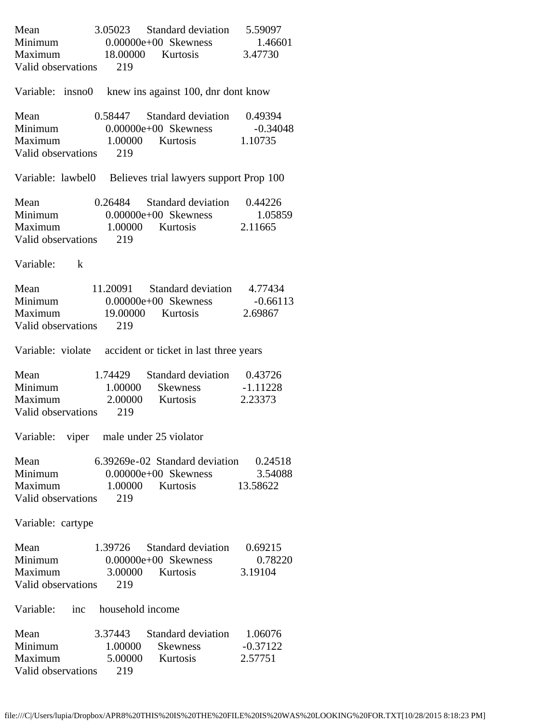|                                | Mean 3.05023 Standard deviation 5.59097<br>Minimum 0.00000e+00 Skewness 1.46601<br>Maximum 18.00000 Kurtosis 3.47730 |                            |
|--------------------------------|----------------------------------------------------------------------------------------------------------------------|----------------------------|
|                                |                                                                                                                      |                            |
|                                |                                                                                                                      |                            |
| Valid observations 219         |                                                                                                                      |                            |
|                                | Variable: insno0 knew ins against 100, dnr dont know                                                                 |                            |
|                                | Mean 0.58447 Standard deviation 0.49394                                                                              |                            |
|                                |                                                                                                                      |                            |
|                                | Minimum 0.00000e+00 Skewness -0.34048<br>Maximum 1.00000 Kurtosis 1.10735                                            |                            |
| Valid observations 219         |                                                                                                                      |                            |
|                                | Variable: lawbel0 Believes trial lawyers support Prop 100                                                            |                            |
|                                | Mean 0.26484 Standard deviation 0.44226                                                                              |                            |
|                                |                                                                                                                      |                            |
|                                | Minimum 0.00000e+00 Skewness 1.05859<br>Maximum 1.00000 Kurtosis 2.11665                                             |                            |
| Valid observations 219         |                                                                                                                      |                            |
| Variable: k                    |                                                                                                                      |                            |
|                                | Mean 11.20091 Standard deviation 4.77434                                                                             |                            |
|                                | Minimum 0.00000e+00 Skewness -0.66113                                                                                |                            |
|                                | Maximum 19.00000 Kurtosis 2.69867                                                                                    |                            |
| Valid observations 219         |                                                                                                                      |                            |
|                                | Variable: violate accident or ticket in last three years                                                             |                            |
|                                | Mean 1.74429 Standard deviation 0.43726<br>Minimum 1.00000 Skewness -1.11228                                         |                            |
|                                |                                                                                                                      |                            |
|                                | Maximum 2.00000 Kurtosis 2.23373                                                                                     |                            |
| Valid observations 219         |                                                                                                                      |                            |
|                                | Variable: viper male under 25 violator                                                                               |                            |
| Mean                           | 6.39269e-02 Standard deviation 0.24518                                                                               |                            |
| Minimum                        |                                                                                                                      | 3.54088                    |
| Maximum                        | 0.00000e+00 Skewness 3.540<br>1.00000 Kurtosis 13.58622                                                              |                            |
| Valid observations             | 219                                                                                                                  |                            |
| Variable: cartype              |                                                                                                                      |                            |
| Mean                           | 1.39726                                                                                                              | Standard deviation 0.69215 |
| Minimum                        | $0.00000e+00$ Skewness                                                                                               | 0.78220                    |
| Maximum                        | 3.00000 Kurtosis                                                                                                     | 3.19104                    |
| Valid observations             | 219                                                                                                                  |                            |
| Variable: inc household income |                                                                                                                      |                            |
| Mean                           | 3.37443 Standard deviation 1.06076                                                                                   |                            |
| Minimum                        | 1.00000                                                                                                              | Skewness -0.37122          |
| Maximum                        | 5.00000 Kurtosis                                                                                                     | 2.57751                    |
| Valid observations             | 219                                                                                                                  |                            |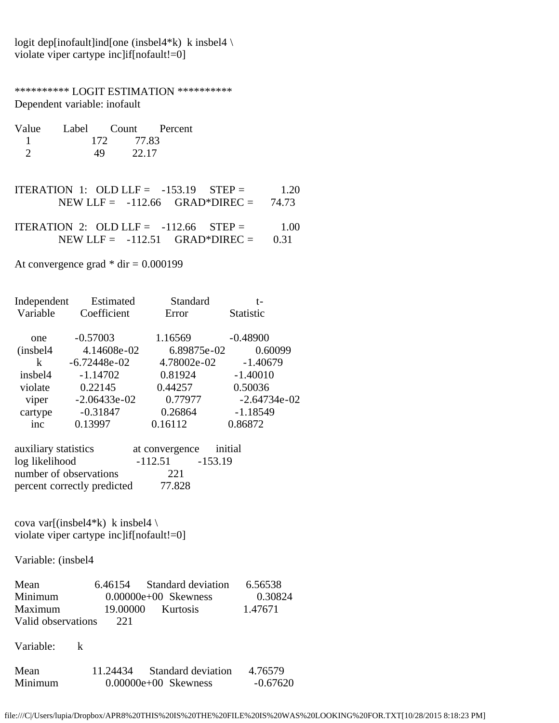logit dep[inofault]ind[one (insbel4\*k) k insbel4 \ violate viper cartype inc]if[nofault!=0]

\*\*\*\*\*\*\*\*\*\* LOGIT ESTIMATION \*\*\*\*\*\*\*\*\*\* Dependent variable: inofault

| Value |              | Label Count Percent |
|-------|--------------|---------------------|
|       | 77.83<br>172 |                     |
|       | 49           | 22.17               |

- ITERATION 1: OLD LLF =  $-153.19$  STEP = 1.20 NEW LLF =  $-112.66$  GRAD\*DIREC = 74.73
- ITERATION 2: OLD LLF =  $-112.66$  STEP =  $1.00$ NEW LLF =  $-112.51$  GRAD\*DIREC = 0.31

At convergence grad  $*$  dir = 0.000199

| Independent | Estimated      | Standard    | t-               |
|-------------|----------------|-------------|------------------|
| Variable    | Coefficient    | Error       | <b>Statistic</b> |
| one         | $-0.57003$     | 1.16569     | $-0.48900$       |
| (insbel4)   | 4.14608e-02    | 6.89875e-02 | 0.60099          |
| k           | $-6.72448e-02$ | 4.78002e-02 | $-1.40679$       |
| insbel4     | $-1.14702$     | 0.81924     | $-1.40010$       |
| violate     | 0.22145        | 0.44257     | 0.50036          |
| viper       | $-2.06433e-02$ | 0.77977     | $-2.64734e-02$   |
| cartype     | $-0.31847$     | 0.26864     | $-1.18549$       |
| inc         | 0.13997        | 0.16112     | 0.86872          |
|             |                |             |                  |

| auxiliary statistics        | at convergence initial |           |
|-----------------------------|------------------------|-----------|
| log likelihood              | $-112.51$              | $-153.19$ |
| number of observations      | 221                    |           |
| percent correctly predicted | 77.828                 |           |

cova var[(insbel4\*k) k insbel4 \ violate viper cartype inc]if[nofault!=0]

Variable: (insbel4

| Mean               | 6.46154  | Standard deviation     | 6.56538 |
|--------------------|----------|------------------------|---------|
| Minimum            |          | $0.00000e+00$ Skewness | 0.30824 |
| Maximum            | 19.00000 | <b>Kurtosis</b>        | 1.47671 |
| Valid observations | 221      |                        |         |

Variable: k

| Mean    | 11.24434 | Standard deviation     | 4.76579    |
|---------|----------|------------------------|------------|
| Minimum |          | $0.00000e+00$ Skewness | $-0.67620$ |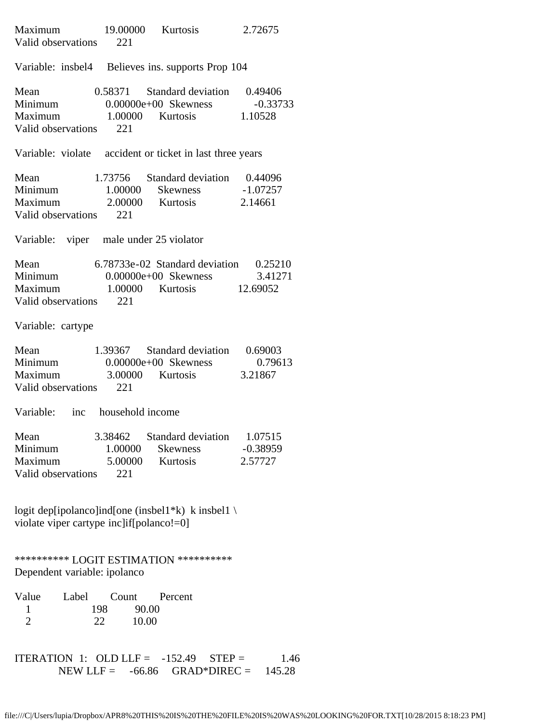| Maximum 19.00000 Kurtosis<br>Valid observations 221                      |                                      |                                                                                                                          | 2.72675                          |
|--------------------------------------------------------------------------|--------------------------------------|--------------------------------------------------------------------------------------------------------------------------|----------------------------------|
|                                                                          |                                      | Variable: insbel4 Believes ins. supports Prop 104                                                                        |                                  |
| Mean<br>Valid observations 221                                           |                                      | 0.58371 Standard deviation 0.49406<br>Minimum 0.00000e+00 Skewness -0.33733<br>Maximum 1.00000 Kurtosis 1.10528          |                                  |
|                                                                          |                                      | Variable: violate accident or ticket in last three years                                                                 |                                  |
| Mean<br>Valid observations 221                                           |                                      | 1.73756 Standard deviation 0.44096<br>Minimum 1.00000 Skewness -1.07257<br>Maximum 2.00000 Kurtosis 2.14661              |                                  |
| Variable: viper male under 25 violator                                   |                                      |                                                                                                                          |                                  |
| Valid observations 221                                                   |                                      | Mean 6.78733e-02 Standard deviation 0.25210<br>Minimum 0.00000e+00 Skewness 3.41271<br>Maximum 1.00000 Kurtosis 12.69052 |                                  |
| Variable: cartype                                                        |                                      |                                                                                                                          |                                  |
| Mean<br>Valid observations 221                                           |                                      | 1.39367 Standard deviation 0.69003<br>Minimum 0.00000e+00 Skewness 0.796<br>Maximum 3.00000 Kurtosis 3.21867             | 0.79613                          |
| Variable: inc household income                                           |                                      |                                                                                                                          |                                  |
| Mean<br>Minimum<br>Maximum<br>Valid observations                         | 3.38462<br>1.00000<br>5.00000<br>221 | Standard deviation<br><b>Skewness</b><br>Kurtosis                                                                        | 1.07515<br>$-0.38959$<br>2.57727 |
| violate viper cartype inclif [polanco!=0]                                |                                      | logit dep[ipolanco]ind[one (insbel1*k) k insbel1 \                                                                       |                                  |
| *********** LOGIT ESTIMATION ***********<br>Dependent variable: ipolanco |                                      |                                                                                                                          |                                  |
| Value<br>Label                                                           | Count                                | Percent                                                                                                                  |                                  |

| 198 | 90.00 |
|-----|-------|
| つつ  | 10.00 |

ITERATION 1: OLD LLF =  $-152.49$  STEP = 1.46  $NEW LLF = -66.86 \t\t GRAD*DIREC = 145.28$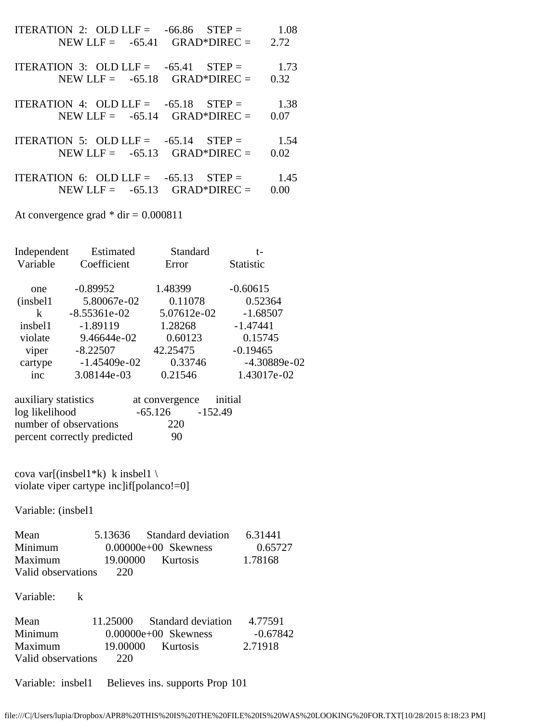| ITERATION 2: OLD LLF = $-66.86$ STEP = $1.08$<br>NEW LLF = $-65.41$ GRAD*DIREC = 2.72 |      |
|---------------------------------------------------------------------------------------|------|
| ITERATION 3: OLD LLF = $-65.41$ STEP = 1.73<br>NEW LLF = $-65.18$ GRAD*DIREC =        | 0.32 |
| ITERATION 4: OLD LLF = $-65.18$ STEP = 1.38<br>NEW LLF = $-65.14$ GRAD*DIREC =        | 0.07 |
| ITERATION 5: OLD LLF = $-65.14$ STEP = 1.54<br>NEW LLF = $-65.13$ GRAD*DIREC =        | 0.02 |
| ITERATION 6: OLD LLF = $-65.13$ STEP = 1.45<br>NEW LLF = $-65.13$ GRAD*DIREC =        | 0.00 |
| At convergence grad $*$ dir = 0.000811                                                |      |

Independent Estimated Standard t- Variable Coefficient Error Statistic one -0.89952 1.48399 -0.60615 (insbel1 5.80067e-02 0.11078 0.52364 k -8.55361e-02 5.07612e-02 -1.68507 insbel1 -1.89119 1.28268 -1.47441 violate 9.46644e-02 0.60123 0.15745 viper -8.22507 42.25475 -0.19465 cartype -1.45409e-02 0.33746 -4.30889e-02 inc 3.08144e-03 0.21546 1.43017e-02

| auxiliary statistics        | at convergence initial |         |
|-----------------------------|------------------------|---------|
| log likelihood              | -65.126                | -152.49 |
| number of observations      | 220                    |         |
| percent correctly predicted | 90                     |         |

cova var[(insbel1\*k) k insbel1 \ violate viper cartype inc]if[polanco!=0]

Variable: (insbel1

| Mean               |          | 5.13636 Standard deviation | 6.31441 |
|--------------------|----------|----------------------------|---------|
| Minimum            |          | $0.00000e+00$ Skewness     | 0.65727 |
| Maximum            | 19.00000 | <b>Kurtosis</b>            | 1.78168 |
| Valid observations | 220      |                            |         |

Variable: k

| Mean               | 11.25000 | Standard deviation     | 4.77591  |
|--------------------|----------|------------------------|----------|
| Minimum            |          | $0.00000e+00$ Skewness | -0.67842 |
| Maximum            | 19.00000 | Kurtosis               | 2.71918  |
| Valid observations | 220      |                        |          |

Variable: insbel1 Believes ins. supports Prop 101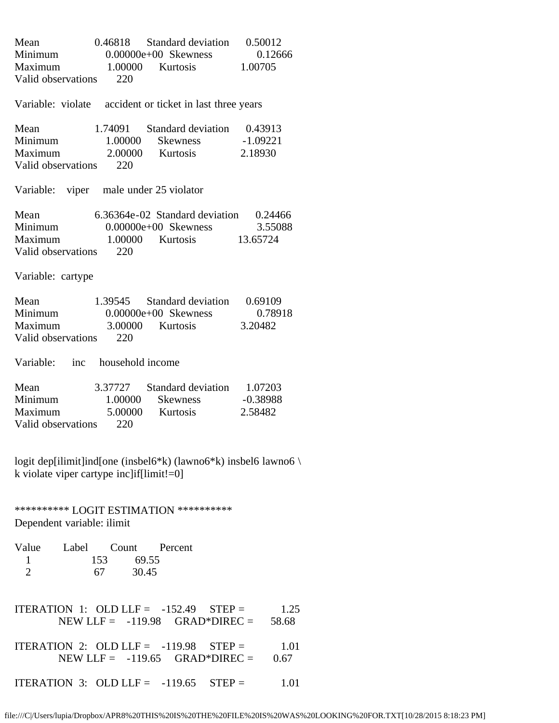| Mean<br>Minimum<br>Maximum 1.00000 Kurtosis<br>Valid observations | 220                                          | 0.46818 Standard deviation 0.50012<br>$0.00000e+00$ Skewness                           | 0.12666<br>1.00705            |
|-------------------------------------------------------------------|----------------------------------------------|----------------------------------------------------------------------------------------|-------------------------------|
|                                                                   |                                              | Variable: violate accident or ticket in last three years                               |                               |
| Mean<br><b>Minimum</b><br>Maximum<br>Valid observations           | 1.00000<br>220                               | 1.74091 Standard deviation 0.43913<br>Skewness -1.09221<br>2.00000 Kurtosis            | 2.18930                       |
| Variable: viper male under 25 violator                            |                                              |                                                                                        |                               |
| Mean<br>Minimum<br>Maximum<br>Valid observations                  | 220                                          | 6.36364e-02 Standard deviation<br>$0.00000e+00$ Skewness<br>1.00000 Kurtosis 13.65724  | 0.24466<br>3.55088            |
| Variable: cartype                                                 |                                              |                                                                                        |                               |
| Mean<br>Minimum<br>Maximum<br>Valid observations 220              | 3.00000 Kurtosis                             | 1.39545 Standard deviation<br>$0.00000e+00$ Skewness                                   | 0.69109<br>0.78918<br>3.20482 |
| Variable: inc household income                                    |                                              |                                                                                        |                               |
| Mean<br>Minimum<br>Maximum<br>Valid observations                  | 1.00000<br>220                               | 3.37727 Standard deviation 1.07203<br>Skewness<br>5.00000 Kurtosis                     | $-0.38988$<br>2.58482         |
| k violate viper cartype inc $if$ [ $limit$ !=0]                   |                                              | logit dep[ilimit]ind[one (insbel6*k) (lawno6*k) insbel6 lawno6 \                       |                               |
| Dependent variable: ilimit                                        |                                              | *********** LOGIT ESTIMATION ***********                                               |                               |
| Value<br>1<br>$\overline{2}$                                      | Label Count Percent<br>153 69.55<br>67 30.45 |                                                                                        |                               |
|                                                                   |                                              | ITERATION 1: OLD LLF = $-152.49$ STEP = 1.25<br>NEW LLF = $-119.98$ GRAD*DIREC = 58.68 |                               |
|                                                                   |                                              | ITERATION 2: OLD LLF = $-119.98$ STEP =<br>$NEW LLF = -119.65 \text{ GRAD*DIREC} =$    | 1.01<br>0.67                  |
|                                                                   |                                              | ITERATION 3: OLD LLF = $-119.65$ STEP =                                                | 1.01                          |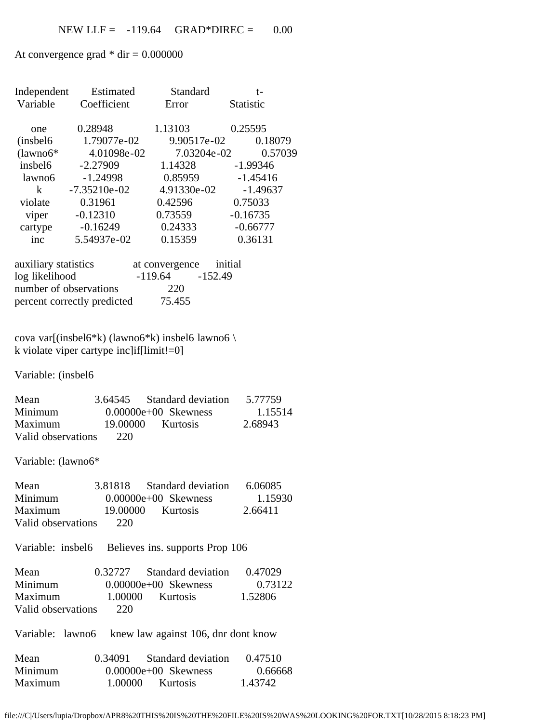At convergence grad  $*$  dir = 0.000000

|                        | Independent Estimated                                | Standard                   | $t-$                |
|------------------------|------------------------------------------------------|----------------------------|---------------------|
| Variable               | Coefficient                                          | Error                      | Statistic           |
|                        |                                                      |                            |                     |
| one                    | 0.28948                                              | 1.13103                    | 0.25595             |
| (inshell6)             | 1.79077e-02                                          |                            | 9.90517e-02 0.18079 |
| $(lawno6*$             | 4.01098e-02                                          | 7.03204e-02                | 0.57039             |
| insbel6                | $-2.27909$                                           | 1.14328                    | $-1.99346$          |
| lawno6                 | $-1.24998$                                           | 0.85959 -1.45416           |                     |
| $\mathbf{k}$           | $-7.35210e-02$                                       | 4.91330e-02                | $-1.49637$          |
| violate                | 0.31961                                              | 0.42596                    | 0.75033             |
| viper                  | $-0.12310$                                           | 0.73559                    | $-0.16735$          |
| cartype                | $-0.16249$                                           | 0.24333                    | $-0.66777$          |
| inc                    | 5.54937e-02                                          | 0.15359                    | 0.36131             |
|                        |                                                      |                            |                     |
| auxiliary statistics   |                                                      | at convergence initial     |                     |
| log likelihood         |                                                      | $-119.64$ $-152.49$        |                     |
| number of observations |                                                      | 220                        |                     |
|                        | percent correctly predicted                          | 75.455                     |                     |
|                        |                                                      |                            |                     |
|                        |                                                      |                            |                     |
|                        | cova var[(insbel6*k) (lawno6*k) insbel6 lawno6 \     |                            |                     |
|                        | k violate viper cartype inc $if$ [limit!=0]          |                            |                     |
|                        |                                                      |                            |                     |
| Variable: (insbel6     |                                                      |                            |                     |
|                        |                                                      |                            |                     |
| Mean                   |                                                      | 3.64545 Standard deviation | 5.77759             |
| Minimum                |                                                      | $0.00000e+00$ Skewness     | 1.15514             |
| Maximum                | 19.00000                                             | Kurtosis                   | 2.68943             |
| Valid observations     | 220                                                  |                            |                     |
|                        |                                                      |                            |                     |
| Variable: (lawno6*     |                                                      |                            |                     |
| Mean                   | 3.81818                                              | <b>Standard deviation</b>  | 6.06085             |
| Minimum                |                                                      | $0.00000e+00$ Skewness     | 1.15930             |
| Maximum                | 19.00000                                             | Kurtosis                   | 2.66411             |
|                        | 220                                                  |                            |                     |
| Valid observations     |                                                      |                            |                     |
|                        | Variable: insbel6 Believes ins. supports Prop 106    |                            |                     |
|                        |                                                      |                            |                     |
| Mean                   | 0.32727                                              | <b>Standard deviation</b>  | 0.47029             |
| Minimum                |                                                      | $0.00000e+00$ Skewness     | 0.73122             |
| Maximum                |                                                      | 1.00000 Kurtosis           | 1.52806             |
| Valid observations     | 220                                                  |                            |                     |
|                        |                                                      |                            |                     |
|                        | Variable: lawno6 knew law against 106, dnr dont know |                            |                     |
| Mean                   | 0.34091                                              | Standard deviation         | 0.47510             |
| Minimum                |                                                      | $0.00000e+00$ Skewness     | 0.66668             |
| Maximum                |                                                      | 1.00000 Kurtosis           | 1.43742             |
|                        |                                                      |                            |                     |

file:///C|/Users/lupia/Dropbox/APR8%20THIS%20IS%20THE%20FILE%20IS%20WAS%20LOOKING%20FOR.TXT[10/28/2015 8:18:23 PM]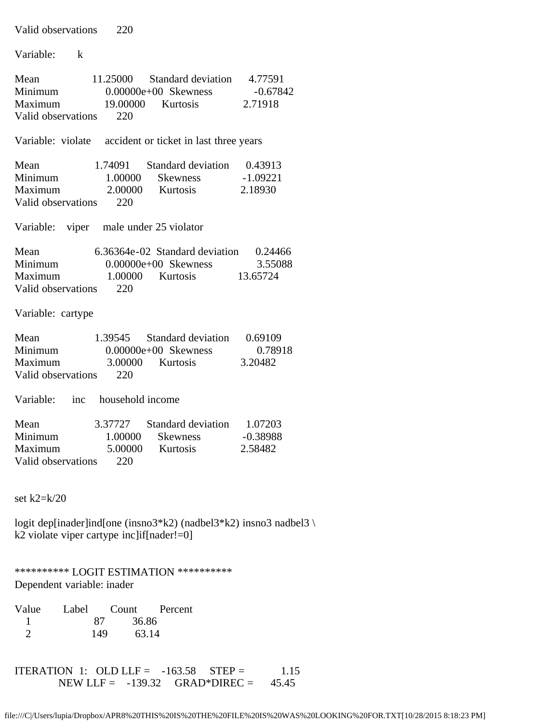| Valid observations<br>220                                                                                                                                                                  |
|--------------------------------------------------------------------------------------------------------------------------------------------------------------------------------------------|
| Variable:<br>$\mathbf{k}$                                                                                                                                                                  |
| 11.25000<br>Standard deviation 4.77591<br>Mean<br>Minimum 0.00000e+00 Skewness -0.678<br>Maximum 19.00000 Kurtosis 2.71918<br>Minimum<br>$-0.67842$<br>Valid observations<br>220           |
| Variable: violate accident or ticket in last three years                                                                                                                                   |
| 1.74091 Standard deviation 0.43913<br>Mean<br>Minimum<br>1.00000<br>Skewness -1.09221<br>2.00000 Kurtosis<br>Maximum<br>2.18930<br>220<br>Valid observations                               |
| Variable: viper male under 25 violator                                                                                                                                                     |
| 6.36364e-02 Standard deviation 0.24466<br>Mean<br>Minimum<br>$0.00000e+00$ Skewness<br>3.55088<br>1.00000 Kurtosis 13.65724<br>Maximum<br>Valid observations<br>220                        |
| Variable: cartype                                                                                                                                                                          |
| 1.39545 Standard deviation 0.69109<br>Mean 1.39545 Standard deviation 0.<br>Minimum 0.00000e+00 Skewness<br>0.78918<br>Maximum 3.00000<br>3.20482<br>Kurtosis<br>Valid observations<br>220 |
| Variable: inc household income                                                                                                                                                             |
| 3.37727 Standard deviation 1.07203<br>Mean<br>Minimum<br>1.00000<br><b>Skewness</b><br>$-0.38988$<br>Maximum<br>5.00000<br>Kurtosis<br>2.58482<br>Valid observations<br>220                |
| set $k2=k/20$                                                                                                                                                                              |
| logit dep[inader]ind[one (insno3*k2) (nadbel3*k2) insno3 nadbel3 \<br>k2 violate viper cartype inc $if[nader!=0]$                                                                          |
| *********** LOGIT ESTIMATION ***********<br>Dependent variable: inader                                                                                                                     |
| Value<br>Label<br>Count<br>Percent<br>36.86<br>87<br>1<br>$\overline{2}$<br>149<br>63.14                                                                                                   |

ITERATION 1: OLD LLF =  $-163.58$  STEP = 1.15 NEW LLF =  $-139.32$  GRAD\*DIREC =  $45.45$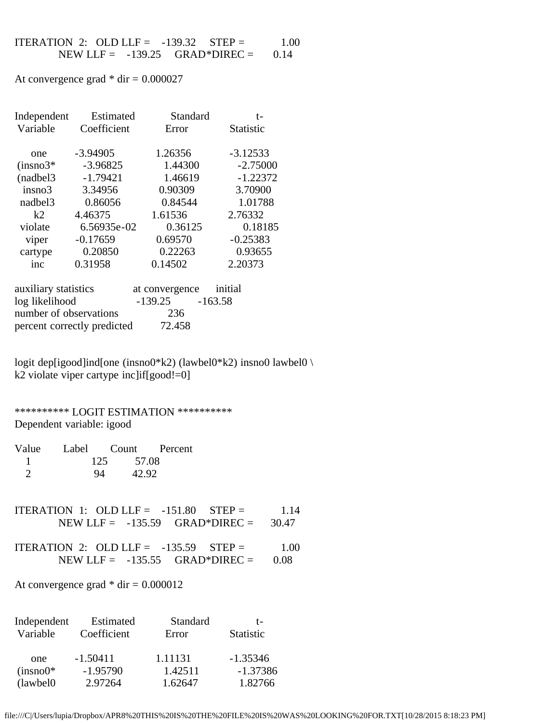$$
\begin{array}{cccc}\n\text{ITERATION 2: OLD LLF = -139.32} & \text{STEP =} & 1.00 \\
\text{NEW LLF = -139.25} & \text{GRAD*DIREC =} & 0.14\n\end{array}
$$

At convergence grad  $*$  dir = 0.000027

| Independent | Estimated   | Standard | t-               |
|-------------|-------------|----------|------------------|
| Variable    | Coefficient | Error    | <b>Statistic</b> |
| one         | $-3.94905$  | 1.26356  | $-3.12533$       |
| $(insno3*)$ | $-3.96825$  | 1.44300  | $-2.75000$       |
| (nadbel3)   | $-1.79421$  | 1.46619  | $-1.22372$       |
| insno3      | 3.34956     | 0.90309  | 3.70900          |
| nadbel3     | 0.86056     | 0.84544  | 1.01788          |
| k2          | 4.46375     | 1.61536  | 2.76332          |
| violate     | 6.56935e-02 | 0.36125  | 0.18185          |
| viper       | $-0.17659$  | 0.69570  | $-0.25383$       |
| cartype     | 0.20850     | 0.22263  | 0.93655          |
| inc         | 0.31958     | 0.14502  | 2.20373          |
|             |             |          |                  |

| auxiliary statistics        | at convergence | initial |
|-----------------------------|----------------|---------|
| log likelihood              | $-139.25$      | -163.58 |
| number of observations      | 236            |         |
| percent correctly predicted | 72.458         |         |

logit dep[igood]ind[one (insno0\*k2) (lawbel0\*k2) insno0 lawbel0 \ k2 violate viper cartype inc]if[good!=0]

## \*\*\*\*\*\*\*\*\*\* LOGIT ESTIMATION \*\*\*\*\*\*\*\*\*\* Dependent variable: igood

| Value         |              | Label Count Percent |
|---------------|--------------|---------------------|
|               | 125<br>57.08 |                     |
| $\mathcal{L}$ | 42.92<br>94  |                     |

| ITERATION 1: OLD LLF = $-151.80$ STEP = |                                          | 1.14 |
|-----------------------------------------|------------------------------------------|------|
|                                         | NEW LLF = $-135.59$ GRAD*DIREC = $30.47$ |      |

| ITERATION 2: OLD LLF = $-135.59$ STEP = |  | 1.00 |
|-----------------------------------------|--|------|
| NEW LLF = $-135.55$ GRAD*DIREC = $0.08$ |  |      |

At convergence grad  $*$  dir = 0.000012

| Independent | Estimated   | Standard | t-               |
|-------------|-------------|----------|------------------|
| Variable    | Coefficient | Error    | <b>Statistic</b> |
| one         | $-1.50411$  | 1.11131  | $-1.35346$       |
| $(insno0*)$ | $-1.95790$  | 1.42511  | $-1.37386$       |
| (lawbel0)   | 2.97264     | 1.62647  | 1.82766          |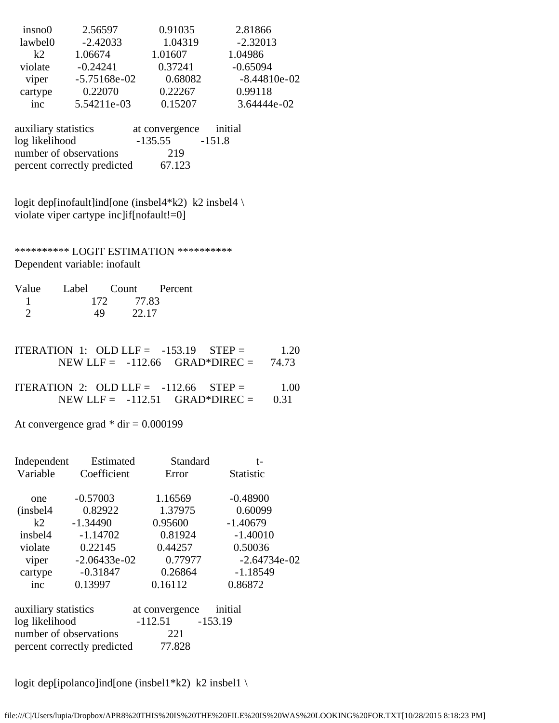| insno0  | 2.56597        | 0.91035 | 2.81866        |
|---------|----------------|---------|----------------|
| lawbel0 | $-2.42033$     | 1.04319 | $-2.32013$     |
| $k$ 2   | 1.06674        | 1.01607 | 1.04986        |
| violate | $-0.24241$     | 0.37241 | $-0.65094$     |
| viper   | $-5.75168e-02$ | 0.68082 | $-8.44810e-02$ |
| cartype | 0.22070        | 0.22267 | 0.99118        |
| inc     | 5.54211e-03    | 0.15207 | 3.64444e-02    |

| auxiliary statistics        | at convergence | initial  |
|-----------------------------|----------------|----------|
| log likelihood              | $-135.55$      | $-151.8$ |
| number of observations      | 219            |          |
| percent correctly predicted | 67.123         |          |

logit dep[inofault]ind[one (insbel4\*k2) k2 insbel4 \ violate viper cartype inc]if[nofault!=0]

\*\*\*\*\*\*\*\*\*\* LOGIT ESTIMATION \*\*\*\*\*\*\*\*\*\* Dependent variable: inofault

| Value |              | Label Count Percent |
|-------|--------------|---------------------|
|       | 77.83<br>172 |                     |
|       | 49<br>22.17  |                     |

| ITERATION 1: OLD LLF = $-153.19$ STEP = |                                        | 1.20 |
|-----------------------------------------|----------------------------------------|------|
|                                         | NEW LLF = $-112.66$ GRAD*DIREC = 74.73 |      |

| ITERATION 2: OLD LLF = $-112.66$ STEP = |  | 1.00 |
|-----------------------------------------|--|------|
| NEW LLF = $-112.51$ GRAD*DIREC = 0.31   |  |      |

At convergence grad  $*$  dir = 0.000199

| Independent                           | Estimated      | Standard       | t-               |  |  |
|---------------------------------------|----------------|----------------|------------------|--|--|
| Variable                              | Coefficient    | Error          | <b>Statistic</b> |  |  |
|                                       |                |                |                  |  |  |
| one                                   | $-0.57003$     | 1.16569        | $-0.48900$       |  |  |
| (insbel4)                             | 0.82922        | 1.37975        | 0.60099          |  |  |
| k2                                    | $-1.34490$     | 0.95600        | $-1.40679$       |  |  |
| insbel4                               | $-1.14702$     | 0.81924        | $-1.40010$       |  |  |
| violate                               | 0.22145        | 0.44257        | 0.50036          |  |  |
| viper                                 | $-2.06433e-02$ | 0.77977        | $-2.64734e-02$   |  |  |
| cartype                               | $-0.31847$     | 0.26864        | $-1.18549$       |  |  |
| inc                                   | 0.13997        | 0.16112        | 0.86872          |  |  |
| auxiliary statistics                  |                | at convergence | initial          |  |  |
| log likelihood                        |                | $-112.51$      | $-153.19$        |  |  |
| number of observations                |                | 221            |                  |  |  |
| 77.828<br>percent correctly predicted |                |                |                  |  |  |

logit dep[ipolanco]ind[one (insbel1\*k2) k2 insbel1 \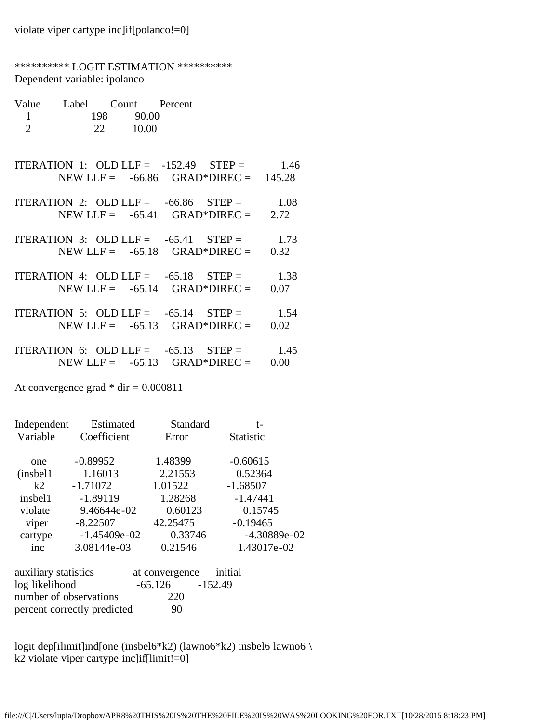| *********** LOGIT ESTIMATION ***********<br>Dependent variable: ipolanco |                                        |          |  |                                                                                          |  |
|--------------------------------------------------------------------------|----------------------------------------|----------|--|------------------------------------------------------------------------------------------|--|
| $\mathbf{1}$<br>$\overline{2}$                                           | Value Label Count Percent<br>198 90.00 | 22 10.00 |  |                                                                                          |  |
|                                                                          |                                        |          |  | ITERATION 1: OLD LLF = $-152.49$ STEP = 1.46<br>NEW LLF = $-66.86$ GRAD*DIREC = $145.28$ |  |
|                                                                          |                                        |          |  | ITERATION 2: OLD LLF = $-66.86$ STEP = $1.08$<br>NEW LLF = $-65.41$ GRAD*DIREC = $2.72$  |  |
|                                                                          |                                        |          |  | ITERATION 3: OLD LLF = $-65.41$ STEP = 1.73<br>NEW LLF = $-65.18$ GRAD*DIREC = $0.32$    |  |
|                                                                          |                                        |          |  | ITERATION 4: OLD LLF = $-65.18$ STEP = 1.38<br>NEW LLF = $-65.14$ GRAD*DIREC = $0.07$    |  |
|                                                                          |                                        |          |  | ITERATION 5: OLD LLF = $-65.14$ STEP = 1.54<br>NEW LLF = $-65.13$ GRAD*DIREC = $0.02$    |  |
|                                                                          |                                        |          |  | ITERATION 6: OLD LLF = $-65.13$ STEP = 1.45<br>NEW LLF = $-65.13$ GRAD*DIREC = $0.00$    |  |

At convergence grad  $*$  dir = 0.000811

| Independent | Estimated      | Standard | t-               |
|-------------|----------------|----------|------------------|
| Variable    | Coefficient    | Error    | <b>Statistic</b> |
| one         | $-0.89952$     | 1.48399  | $-0.60615$       |
| (inshell)   | 1.16013        | 2.21553  | 0.52364          |
| k2          | $-1.71072$     | 1.01522  | $-1.68507$       |
| insbel1     | $-1.89119$     | 1.28268  | $-1.47441$       |
| violate     | 9.46644e-02    | 0.60123  | 0.15745          |
| viper       | $-8.22507$     | 42.25475 | $-0.19465$       |
| cartype     | $-1.45409e-02$ | 0.33746  | $-4.30889e-02$   |
| inc         | 3.08144e-03    | 0.21546  | 1.43017e-02      |
|             |                |          |                  |

| auxiliary statistics        | at convergence initial |  |
|-----------------------------|------------------------|--|
| log likelihood              | $-65.126 -152.49$      |  |
| number of observations      | 220                    |  |
| percent correctly predicted | 90                     |  |

logit dep[ilimit]ind[one (insbel6\*k2) (lawno6\*k2) insbel6 lawno6 \ k2 violate viper cartype inc]if[limit!=0]